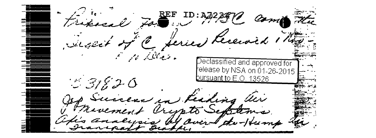$\mathcal{L}$   $\sum_{i=1}^{REF}$  ID:A  $m\triangleq \overline{\mathcal{H}_{\alpha}}$ FC ferie فليمسط كالمتفايين Declassified and approved for /elease by NSA on 01-26-2015 / <u>suant to E.O</u>. 13526  $3820$ lisding indeed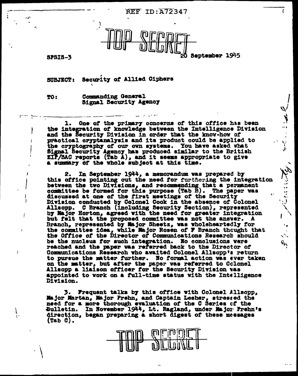**REF ID: A72347** 



**SPSIS-3** 

September 1945

 $\sum_{i=1}^{n} \frac{1}{i} \sum_{i=1}^{n} \frac{1}{i} \sum_{i=1}^{n} \frac{1}{i} \sum_{i=1}^{n} \frac{1}{i} \sum_{i=1}^{n} \frac{1}{i} \sum_{i=1}^{n} \frac{1}{i} \sum_{i=1}^{n} \frac{1}{i} \sum_{i=1}^{n} \frac{1}{i} \sum_{i=1}^{n} \frac{1}{i} \sum_{i=1}^{n} \frac{1}{i} \sum_{i=1}^{n} \frac{1}{i} \sum_{i=1}^{n} \frac{1}{i} \sum_{i=1}^{n} \frac{1}{i$ 

 $\frac{1}{\sqrt{2}}$ 

Letter in the

Security of Allied Ciphers SUBJECT:

TO:

 $\overline{1}$ 

ſ

 $\mathbf{I}$ 

Commanding General Signal Security Agency

One of the primary concerns of this office has been ı. the integration of knowledge between the Intelligence Division and the Security Division in order that the know-how of practical cryptanalysis and its product could be applied to the cryptography of our own systems. You have asked what Signal Security Agency has produced similar to the British ZIP/SAC reports (Tab A), and it seems appropriate to give a summary of the whole subject at this time.

In September 1944, a memorandum was prepared by 2. this office pointing out the need for furthering the integration between the two Divisions, and recommending that a permanent committee be formed for this purpose (Tab B). The paper was discussed at one of the first meetings of the Security Division conducted by Colonel Cook in the absence of Colonel Allsopp. C Branch (including Security Section), represented<br>by Major Horton, agreed with the need for greater integration but felt that the proposed committee was not the answer. A Branch, represented by Major Sheetz, was wholeheartedly for the committee idea, while Major Rosen of F Branch thought that the Office of the Director of Communications Research should be the nucleus for such integration. No conclusions were reached and the paper was referred back to the Director of Communications Research who avaited Colonel Allsopp's return to pursue the matter further. No formal action was ever taken on the matter, but after the paper was referred to Colonel Allsopp a liaison officer for the Security Division was appointed to work on a full-time status with the Intelligence Division.

3. Frequent talks by this office with Colonel Allsopp, Major Martan, Major Prehn, and Captain Lesher, stressed the need for a more thorough evaluation of the C Series of the Bulletin. In November 1944, Lt. Ragland, under Major Prehn's direction, began preparing a short digest of these messages  $(Tab C).$ 

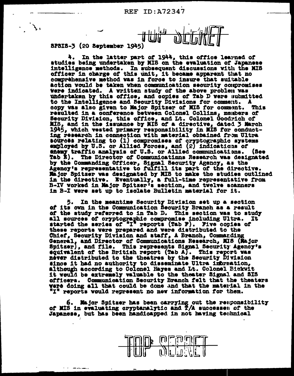

SPSIS-3 (20 September 1945)

In the latter part of 1944, this office learned of studies being undertaken by MIS on the evaluation of Japanese intelligence methods. In subsequent discussions with the MIS officer in charge of this unit, it became apparent that no comprehensive method was in force to insure that suitable action would be taken when communication security compromises were indicated. A written study of the above problem was undertaken by this office, and copies of Tab D were submitted to the Intelligence and Security Divisions for comment. A copy was also given to Major Spitzer of MIS for comment. This resulted in a conference between Colonel Collins, members of Security Division, this office, and Lt. Colonel Goodrich of MIS, and in the issuance by MIS of a directive, dated 3 March 1945, which vested primary responsibility in MIS for conducting research in connection with material obtained from Ultra<br>sources relating to (1) compromises of cryptographic systems employed by U.S. or Allied Forces, and (2) indications of themy traffic analysis of U.S. or Allied communications. (Bee Tab E). The Director of Communicatinns Research was designated by the Commanding Officer, Signal Security Agency, as the Agency's representative to fulfill its part of the directive. Major Spitzer was designated by MIS to make the studies outlined in the directive. Eventually, a full-time representative from B-IV worked in Major Spitzer's section, and twelve scanners in B-I were set up to isolate Bulletin material for it.

5. In the meantime Security Division set up a section of its own in the Communication Becurity Branch as a result of the study referred to in Tab D. This section was to study all sources of cryptographic compromise including Ultra. It started the series of "I" reports (Tab F). Five copies of these reports were prepared and were distributed to the Chief, Security Division and staff, A Branch, Commanding General, and Director of Communications Research, MIS (Major Spitzer), and file. This represents Signal Security Agency's equivalent of the British report (Tab A). This report was never distributed to the theatres by the Security Division since it had no authority to disseminate Ultra information, although according to Colonel Hayes and Lt. Colonel Bickwit it would be extremely valuable to the theater Signal and SIS officers. Communication Security Branch felt that the theaters were doing all that could be done and that the material in the "I" reports would represent no new information for them.

Major Spitzer has been carrying out the responsibility of MIS in evaluating oryptanalytic and  $\overline{T}/A$  successes of the Japanese, but has been handicapped in not having technical